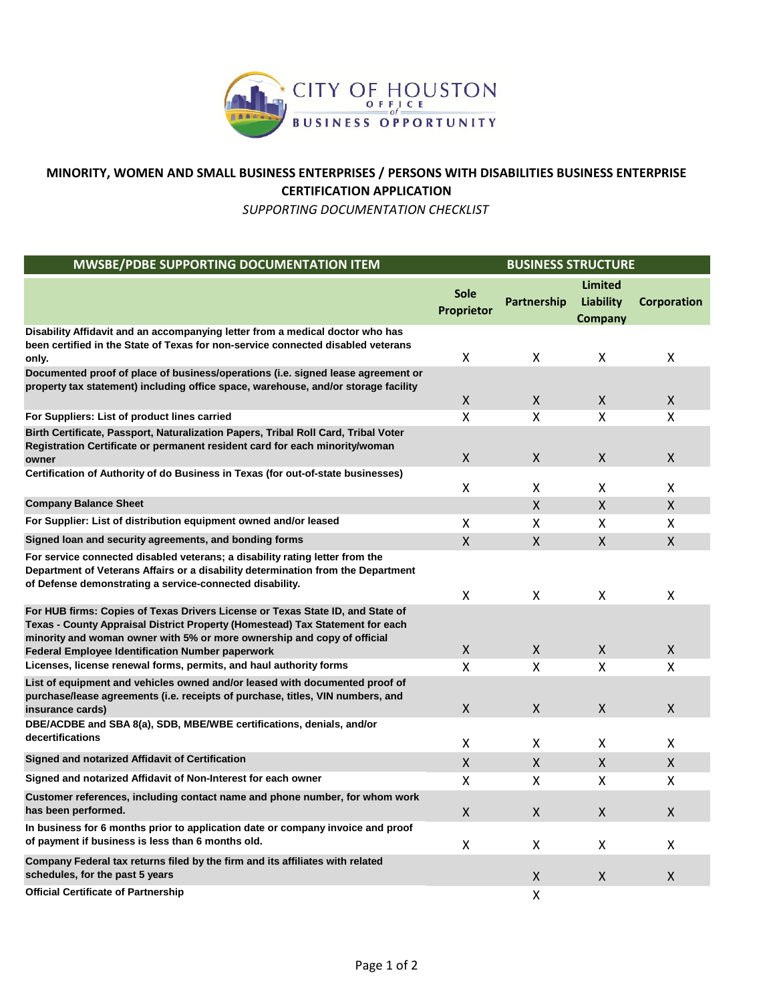

## **MINORITY, WOMEN AND SMALL BUSINESS ENTERPRISES / PERSONS WITH DISABILITIES BUSINESS ENTERPRISE CERTIFICATION APPLICATION**

*SUPPORTING DOCUMENTATION CHECKLIST*

| MWSBE/PDBE SUPPORTING DOCUMENTATION ITEM                                                                                                                                                                                                                                                              |                           | <b>BUSINESS STRUCTURE</b> |                                               |                    |  |
|-------------------------------------------------------------------------------------------------------------------------------------------------------------------------------------------------------------------------------------------------------------------------------------------------------|---------------------------|---------------------------|-----------------------------------------------|--------------------|--|
|                                                                                                                                                                                                                                                                                                       | <b>Sole</b><br>Proprietor | Partnership               | <b>Limited</b><br>Liability<br><b>Company</b> | <b>Corporation</b> |  |
| Disability Affidavit and an accompanying letter from a medical doctor who has<br>been certified in the State of Texas for non-service connected disabled veterans<br>only.                                                                                                                            | X                         | X                         | X                                             | Χ                  |  |
| Documented proof of place of business/operations (i.e. signed lease agreement or<br>property tax statement) including office space, warehouse, and/or storage facility                                                                                                                                | $\pmb{\times}$            | X                         | X                                             | X                  |  |
| For Suppliers: List of product lines carried                                                                                                                                                                                                                                                          | X                         | X                         | X                                             | x                  |  |
| Birth Certificate, Passport, Naturalization Papers, Tribal Roll Card, Tribal Voter<br>Registration Certificate or permanent resident card for each minority/woman<br>owner                                                                                                                            | X                         | X                         | X                                             | Χ                  |  |
| Certification of Authority of do Business in Texas (for out-of-state businesses)                                                                                                                                                                                                                      | X                         | X                         | X                                             | X                  |  |
| <b>Company Balance Sheet</b>                                                                                                                                                                                                                                                                          |                           | $\mathsf{x}$              | X                                             | $\mathsf{X}$       |  |
| For Supplier: List of distribution equipment owned and/or leased                                                                                                                                                                                                                                      | X                         | X                         | X                                             | Χ                  |  |
| Signed loan and security agreements, and bonding forms                                                                                                                                                                                                                                                | $\mathsf{X}$              | $\mathsf{X}$              | $\mathsf{X}$                                  | X                  |  |
| For service connected disabled veterans; a disability rating letter from the<br>Department of Veterans Affairs or a disability determination from the Department<br>of Defense demonstrating a service-connected disability.                                                                          | X                         | X                         | x                                             | x                  |  |
| For HUB firms: Copies of Texas Drivers License or Texas State ID, and State of<br>Texas - County Appraisal District Property (Homestead) Tax Statement for each<br>minority and woman owner with 5% or more ownership and copy of official<br><b>Federal Employee Identification Number paperwork</b> | $\pmb{\times}$            | X                         | X.                                            | X.                 |  |
| Licenses, license renewal forms, permits, and haul authority forms                                                                                                                                                                                                                                    | x                         | X                         | X                                             | x                  |  |
| List of equipment and vehicles owned and/or leased with documented proof of<br>purchase/lease agreements (i.e. receipts of purchase, titles, VIN numbers, and<br>insurance cards)                                                                                                                     | $\mathsf X$               | $\pmb{\mathsf{X}}$        | Χ                                             | X                  |  |
| DBE/ACDBE and SBA 8(a), SDB, MBE/WBE certifications, denials, and/or<br>decertifications                                                                                                                                                                                                              | X                         | X                         | Χ                                             | x                  |  |
| Signed and notarized Affidavit of Certification                                                                                                                                                                                                                                                       | $\mathsf{X}$              | $\mathsf{X}$              | X                                             | $\mathsf{X}$       |  |
| Signed and notarized Affidavit of Non-Interest for each owner                                                                                                                                                                                                                                         | x                         | X                         | Χ                                             | x                  |  |
| Customer references, including contact name and phone number, for whom work<br>has been performed.                                                                                                                                                                                                    | $\pmb{\times}$            | $\mathsf{X}$              | X                                             | X.                 |  |
| In business for 6 months prior to application date or company invoice and proof<br>of payment if business is less than 6 months old.                                                                                                                                                                  | $\mathsf{\chi}$           | X                         | X                                             | Χ                  |  |
| Company Federal tax returns filed by the firm and its affiliates with related<br>schedules, for the past 5 years                                                                                                                                                                                      |                           | $\mathsf{X}$              | X                                             | X                  |  |
| <b>Official Certificate of Partnership</b>                                                                                                                                                                                                                                                            |                           | x                         |                                               |                    |  |